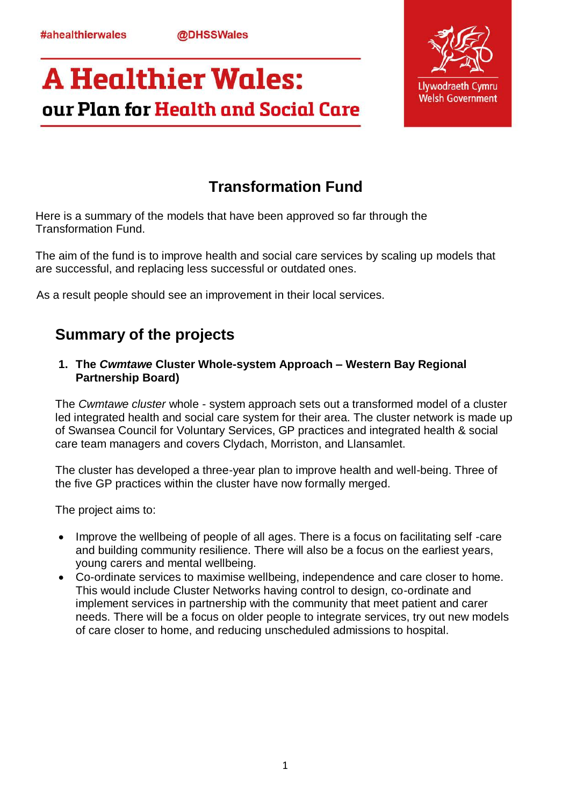**@DHSSWales** 

# **A Healthier Wales:** our Plan for Health and Social Care



## **Transformation Fund**

Here is a summary of the models that have been approved so far through the Transformation Fund.

The aim of the fund is to improve health and social care services by scaling up models that are successful, and replacing less successful or outdated ones.

As a result people should see an improvement in their local services.

### **Summary of the projects**

**1. The** *Cwmtawe* **Cluster Whole-system Approach – Western Bay Regional Partnership Board)** 

The *Cwmtawe cluster* whole - system approach sets out a transformed model of a cluster led integrated health and social care system for their area. The cluster network is made up of Swansea Council for Voluntary Services, GP practices and integrated health & social care team managers and covers Clydach, Morriston, and Llansamlet.

The cluster has developed a three-year plan to improve health and well-being. Three of the five GP practices within the cluster have now formally merged.

The project aims to:

- Improve the wellbeing of people of all ages. There is a focus on facilitating self-care and building community resilience. There will also be a focus on the earliest years, young carers and mental wellbeing.
- Co-ordinate services to maximise wellbeing, independence and care closer to home. This would include Cluster Networks having control to design, co-ordinate and implement services in partnership with the community that meet patient and carer needs. There will be a focus on older people to integrate services, try out new models of care closer to home, and reducing unscheduled admissions to hospital.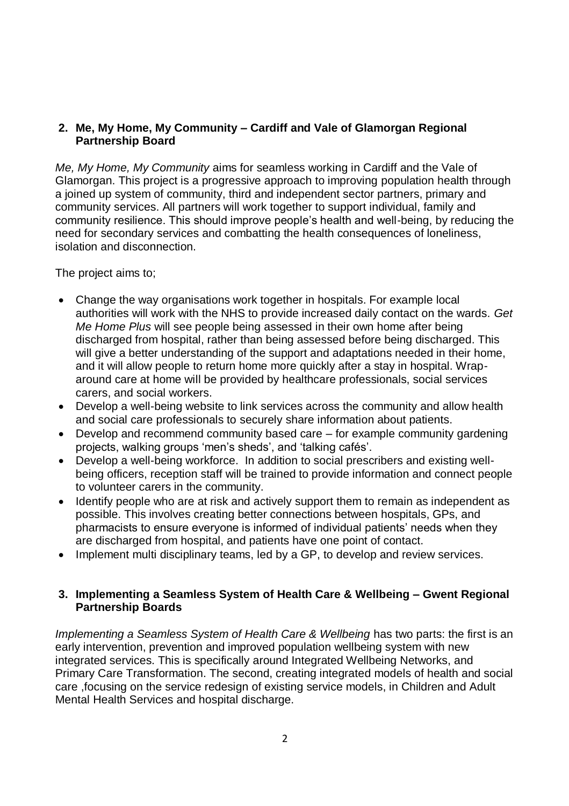#### **2. Me, My Home, My Community – Cardiff and Vale of Glamorgan Regional Partnership Board**

*Me, My Home, My Community* aims for seamless working in Cardiff and the Vale of Glamorgan. This project is a progressive approach to improving population health through a joined up system of community, third and independent sector partners, primary and community services. All partners will work together to support individual, family and community resilience. This should improve people's health and well-being, by reducing the need for secondary services and combatting the health consequences of loneliness, isolation and disconnection.

The project aims to;

- Change the way organisations work together in hospitals. For example local authorities will work with the NHS to provide increased daily contact on the wards. *Get Me Home Plus* will see people being assessed in their own home after being discharged from hospital, rather than being assessed before being discharged. This will give a better understanding of the support and adaptations needed in their home, and it will allow people to return home more quickly after a stay in hospital. Wraparound care at home will be provided by healthcare professionals, social services carers, and social workers.
- Develop a well-being website to link services across the community and allow health and social care professionals to securely share information about patients.
- Develop and recommend community based care for example community gardening projects, walking groups 'men's sheds', and 'talking cafés'.
- Develop a well-being workforce. In addition to social prescribers and existing wellbeing officers, reception staff will be trained to provide information and connect people to volunteer carers in the community.
- Identify people who are at risk and actively support them to remain as independent as possible. This involves creating better connections between hospitals, GPs, and pharmacists to ensure everyone is informed of individual patients' needs when they are discharged from hospital, and patients have one point of contact.
- Implement multi disciplinary teams, led by a GP, to develop and review services.

#### **3. Implementing a Seamless System of Health Care & Wellbeing – Gwent Regional Partnership Boards**

*Implementing a Seamless System of Health Care & Wellbeing* has two parts: the first is an early intervention, prevention and improved population wellbeing system with new integrated services. This is specifically around Integrated Wellbeing Networks, and Primary Care Transformation. The second, creating integrated models of health and social care ,focusing on the service redesign of existing service models, in Children and Adult Mental Health Services and hospital discharge.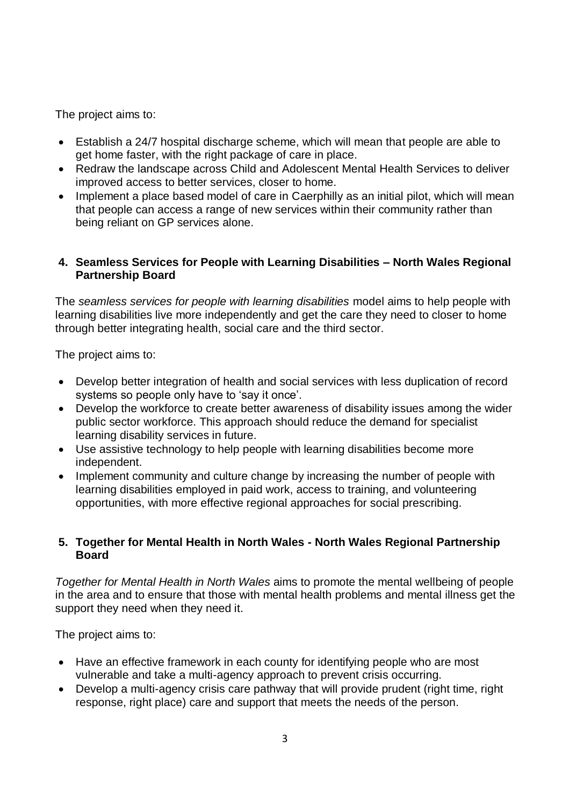The project aims to:

- Establish a 24/7 hospital discharge scheme, which will mean that people are able to get home faster, with the right package of care in place.
- Redraw the landscape across Child and Adolescent Mental Health Services to deliver improved access to better services, closer to home.
- Implement a place based model of care in Caerphilly as an initial pilot, which will mean that people can access a range of new services within their community rather than being reliant on GP services alone.

#### **4. Seamless Services for People with Learning Disabilities – North Wales Regional Partnership Board**

The *seamless services for people with learning disabilities* model aims to help people with learning disabilities live more independently and get the care they need to closer to home through better integrating health, social care and the third sector.

The project aims to:

- Develop better integration of health and social services with less duplication of record systems so people only have to 'say it once'.
- Develop the workforce to create better awareness of disability issues among the wider public sector workforce. This approach should reduce the demand for specialist learning disability services in future.
- Use assistive technology to help people with learning disabilities become more independent.
- Implement community and culture change by increasing the number of people with learning disabilities employed in paid work, access to training, and volunteering opportunities, with more effective regional approaches for social prescribing.

#### **5. Together for Mental Health in North Wales - North Wales Regional Partnership Board**

*Together for Mental Health in North Wales* aims to promote the mental wellbeing of people in the area and to ensure that those with mental health problems and mental illness get the support they need when they need it.

The project aims to:

- Have an effective framework in each county for identifying people who are most vulnerable and take a multi-agency approach to prevent crisis occurring.
- Develop a multi-agency crisis care pathway that will provide prudent (right time, right response, right place) care and support that meets the needs of the person.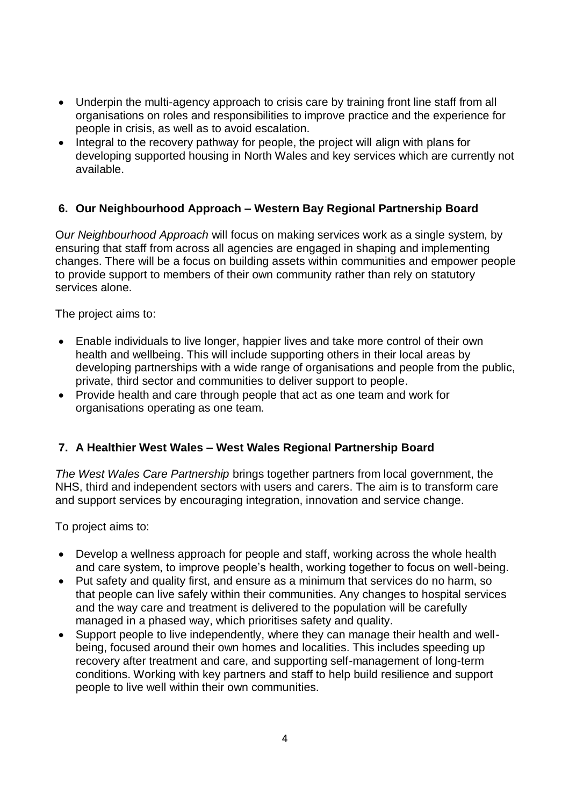- Underpin the multi-agency approach to crisis care by training front line staff from all organisations on roles and responsibilities to improve practice and the experience for people in crisis, as well as to avoid escalation.
- Integral to the recovery pathway for people, the project will align with plans for developing supported housing in North Wales and key services which are currently not available.

#### **6. Our Neighbourhood Approach – Western Bay Regional Partnership Board**

O*ur Neighbourhood Approach* will focus on making services work as a single system, by ensuring that staff from across all agencies are engaged in shaping and implementing changes. There will be a focus on building assets within communities and empower people to provide support to members of their own community rather than rely on statutory services alone.

The project aims to:

- Enable individuals to live longer, happier lives and take more control of their own health and wellbeing. This will include supporting others in their local areas by developing partnerships with a wide range of organisations and people from the public, private, third sector and communities to deliver support to people.
- Provide health and care through people that act as one team and work for organisations operating as one team.

#### **7. A Healthier West Wales – West Wales Regional Partnership Board**

*The West Wales Care Partnership* brings together partners from local government, the NHS, third and independent sectors with users and carers. The aim is to transform care and support services by encouraging integration, innovation and service change.

To project aims to:

- Develop a wellness approach for people and staff, working across the whole health and care system, to improve people's health, working together to focus on well-being.
- Put safety and quality first, and ensure as a minimum that services do no harm, so that people can live safely within their communities. Any changes to hospital services and the way care and treatment is delivered to the population will be carefully managed in a phased way, which prioritises safety and quality.
- Support people to live independently, where they can manage their health and wellbeing, focused around their own homes and localities. This includes speeding up recovery after treatment and care, and supporting self-management of long-term conditions. Working with key partners and staff to help build resilience and support people to live well within their own communities.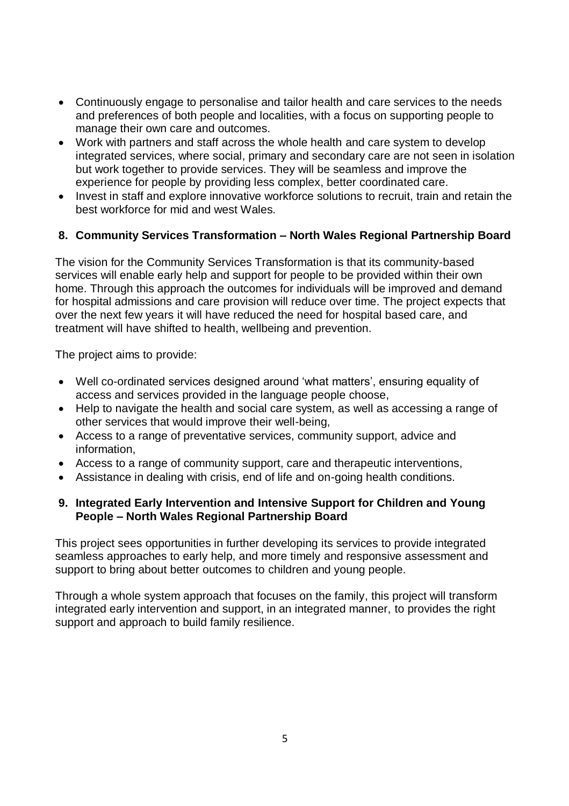- Continuously engage to personalise and tailor health and care services to the needs and preferences of both people and localities, with a focus on supporting people to manage their own care and outcomes.
- Work with partners and staff across the whole health and care system to develop integrated services, where social, primary and secondary care are not seen in isolation but work together to provide services. They will be seamless and improve the experience for people by providing less complex, better coordinated care.
- Invest in staff and explore innovative workforce solutions to recruit, train and retain the best workforce for mid and west Wales.

#### **8. Community Services Transformation – North Wales Regional Partnership Board**

The vision for the Community Services Transformation is that its community-based services will enable early help and support for people to be provided within their own home. Through this approach the outcomes for individuals will be improved and demand for hospital admissions and care provision will reduce over time. The project expects that over the next few years it will have reduced the need for hospital based care, and treatment will have shifted to health, wellbeing and prevention.

The project aims to provide:

- Well co-ordinated services designed around 'what matters', ensuring equality of access and services provided in the language people choose,
- Help to navigate the health and social care system, as well as accessing a range of other services that would improve their well-being,
- Access to a range of preventative services, community support, advice and information,
- Access to a range of community support, care and therapeutic interventions,
- Assistance in dealing with crisis, end of life and on-going health conditions.

#### **9. Integrated Early Intervention and Intensive Support for Children and Young People – North Wales Regional Partnership Board**

This project sees opportunities in further developing its services to provide integrated seamless approaches to early help, and more timely and responsive assessment and support to bring about better outcomes to children and young people.

Through a whole system approach that focuses on the family, this project will transform integrated early intervention and support, in an integrated manner, to provides the right support and approach to build family resilience.